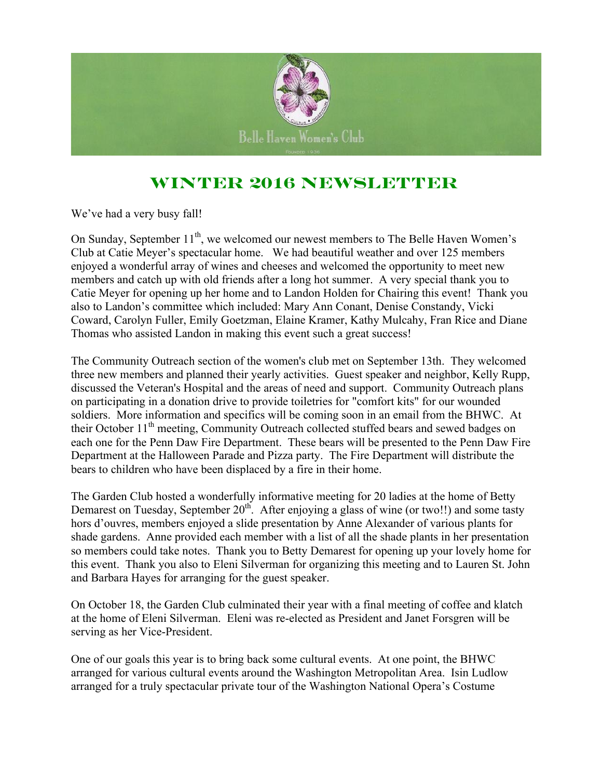

## **Winter 2016 Newsletter**

We've had a very busy fall!

On Sunday, September  $11<sup>th</sup>$ , we welcomed our newest members to The Belle Haven Women's Club at Catie Meyer's spectacular home. We had beautiful weather and over 125 members enjoyed a wonderful array of wines and cheeses and welcomed the opportunity to meet new members and catch up with old friends after a long hot summer. A very special thank you to Catie Meyer for opening up her home and to Landon Holden for Chairing this event! Thank you also to Landon's committee which included: Mary Ann Conant, Denise Constandy, Vicki Coward, Carolyn Fuller, Emily Goetzman, Elaine Kramer, Kathy Mulcahy, Fran Rice and Diane Thomas who assisted Landon in making this event such a great success!

The Community Outreach section of the women's club met on September 13th. They welcomed three new members and planned their yearly activities. Guest speaker and neighbor, Kelly Rupp, discussed the Veteran's Hospital and the areas of need and support. Community Outreach plans on participating in a donation drive to provide toiletries for "comfort kits" for our wounded soldiers. More information and specifics will be coming soon in an email from the BHWC. At their October  $11<sup>th</sup>$  meeting, Community Outreach collected stuffed bears and sewed badges on each one for the Penn Daw Fire Department. These bears will be presented to the Penn Daw Fire Department at the Halloween Parade and Pizza party. The Fire Department will distribute the bears to children who have been displaced by a fire in their home.

The Garden Club hosted a wonderfully informative meeting for 20 ladies at the home of Betty Demarest on Tuesday, September  $20^{th}$ . After enjoying a glass of wine (or two!!) and some tasty hors d'ouvres, members enjoyed a slide presentation by Anne Alexander of various plants for shade gardens. Anne provided each member with a list of all the shade plants in her presentation so members could take notes. Thank you to Betty Demarest for opening up your lovely home for this event. Thank you also to Eleni Silverman for organizing this meeting and to Lauren St. John and Barbara Hayes for arranging for the guest speaker.

On October 18, the Garden Club culminated their year with a final meeting of coffee and klatch at the home of Eleni Silverman. Eleni was re-elected as President and Janet Forsgren will be serving as her Vice-President.

One of our goals this year is to bring back some cultural events. At one point, the BHWC arranged for various cultural events around the Washington Metropolitan Area. Isin Ludlow arranged for a truly spectacular private tour of the Washington National Opera's Costume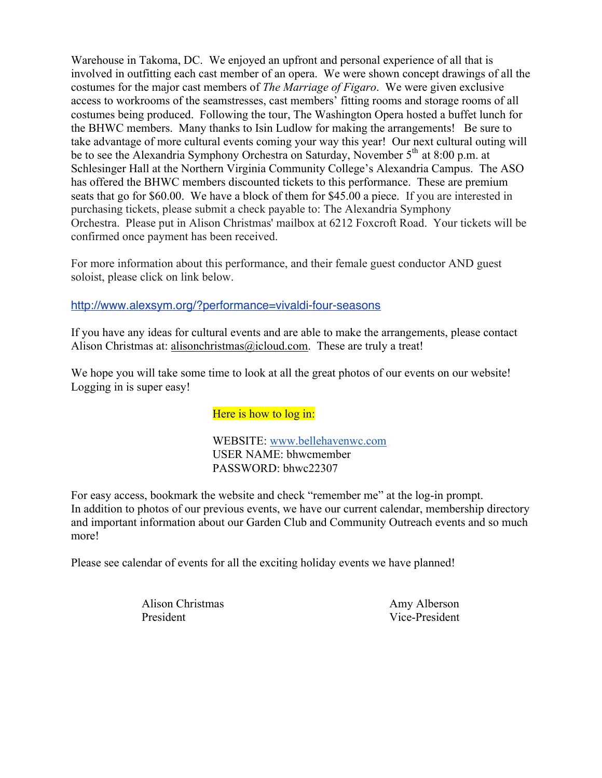Warehouse in Takoma, DC. We enjoyed an upfront and personal experience of all that is involved in outfitting each cast member of an opera. We were shown concept drawings of all the costumes for the major cast members of *The Marriage of Figaro*. We were given exclusive access to workrooms of the seamstresses, cast members' fitting rooms and storage rooms of all costumes being produced. Following the tour, The Washington Opera hosted a buffet lunch for the BHWC members. Many thanks to Isin Ludlow for making the arrangements! Be sure to take advantage of more cultural events coming your way this year! Our next cultural outing will be to see the Alexandria Symphony Orchestra on Saturday, November 5<sup>th</sup> at 8:00 p.m. at Schlesinger Hall at the Northern Virginia Community College's Alexandria Campus. The ASO has offered the BHWC members discounted tickets to this performance. These are premium seats that go for \$60.00. We have a block of them for \$45.00 a piece. If you are interested in purchasing tickets, please submit a check payable to: The Alexandria Symphony Orchestra. Please put in Alison Christmas' mailbox at 6212 Foxcroft Road. Your tickets will be confirmed once payment has been received.

For more information about this performance, and their female guest conductor AND guest soloist, please click on link below.

#### http://www.alexsym.org/?performance=vivaldi-four-seasons

If you have any ideas for cultural events and are able to make the arrangements, please contact Alison Christmas at: alisonchristmas@icloud.com. These are truly a treat!

We hope you will take some time to look at all the great photos of our events on our website! Logging in is super easy!

#### Here is how to log in:

WEBSITE: www.bellehavenwc.com USER NAME: bhwcmember PASSWORD: bhwc22307

For easy access, bookmark the website and check "remember me" at the log-in prompt. In addition to photos of our previous events, we have our current calendar, membership directory and important information about our Garden Club and Community Outreach events and so much more!

Please see calendar of events for all the exciting holiday events we have planned!

Alison Christmas Amy Alberson President Vice-President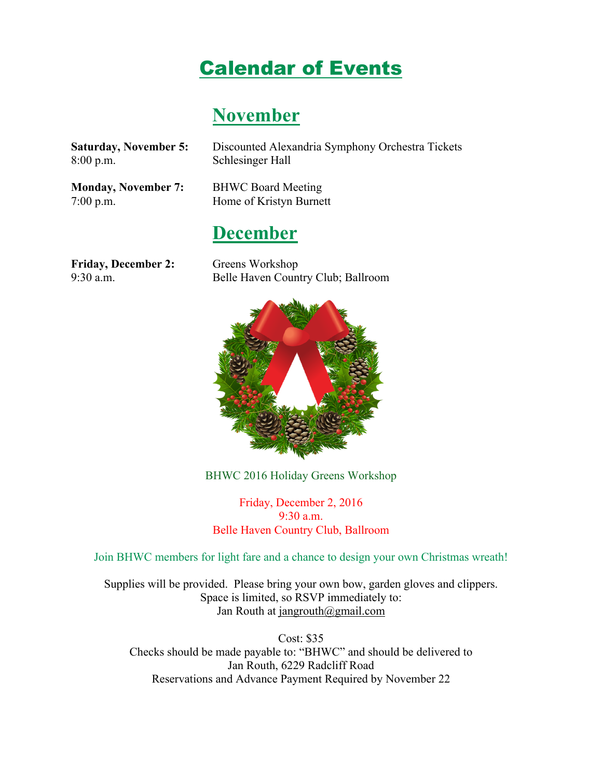# Calendar of Events

## **November**

| <b>Saturday, November 5:</b>              | Discounted Alexandria Symphony Orchestra Tickets     |
|-------------------------------------------|------------------------------------------------------|
| 8:00 p.m.                                 | Schlesinger Hall                                     |
| <b>Monday, November 7:</b><br>$7:00$ p.m. | <b>BHWC Board Meeting</b><br>Home of Kristyn Burnett |
|                                           | <b>December</b>                                      |
| <b>Friday, December 2:</b>                | Greens Workshop                                      |
| $9:30$ a.m.                               | Belle Haven Country Club; Ballroom                   |



BHWC 2016 Holiday Greens Workshop

Friday, December 2, 2016 9:30 a.m. Belle Haven Country Club, Ballroom

Join BHWC members for light fare and a chance to design your own Christmas wreath!

Supplies will be provided. Please bring your own bow, garden gloves and clippers. Space is limited, so RSVP immediately to: Jan Routh at jangrouth@gmail.com

Cost: \$35 Checks should be made payable to: "BHWC" and should be delivered to Jan Routh, 6229 Radcliff Road Reservations and Advance Payment Required by November 22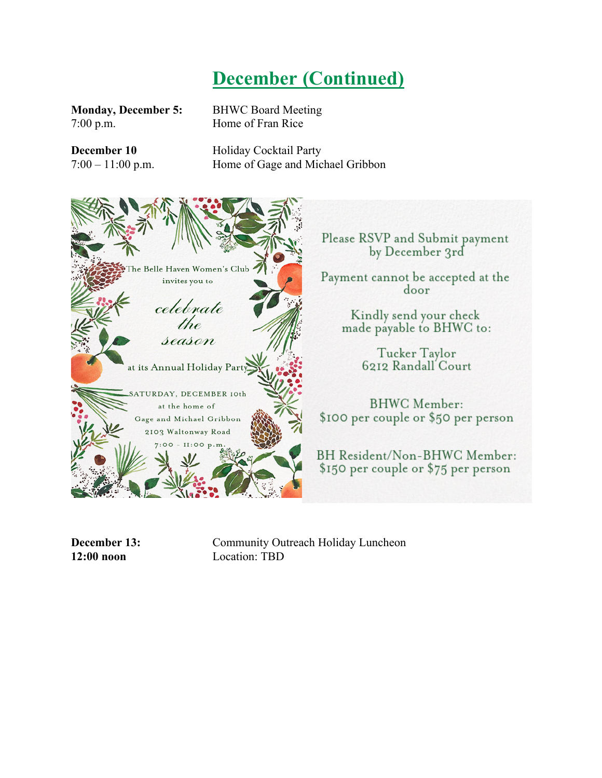# **December (Continued)**

7:00 p.m. Home of Fran Rice

**Monday, December 5:** BHWC Board Meeting

**December 10** Holiday Cocktail Party 7:00 – 11:00 p.m. Home of Gage and Michael Gribbon



Please RSVP and Submit payment by December 3rd

Payment cannot be accepted at the door

> Kindly send your check made payable to BHWC to:

> > Tucker Taylor 6212 Randall Court

**BHWC** Member: \$100 per couple or \$50 per person

BH Resident/Non-BHWC Member: \$150 per couple or \$75 per person

**December 13:** Community Outreach Holiday Luncheon **12:00 noon** Location: TBD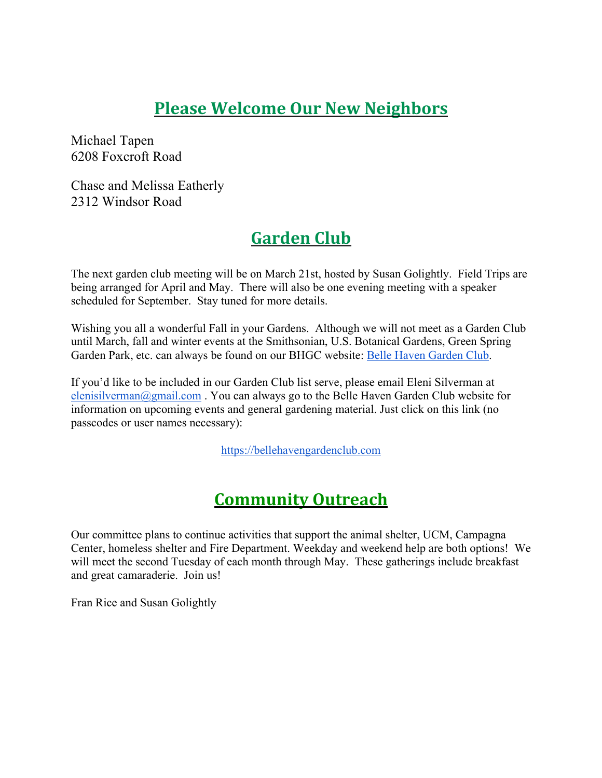#### **Please Welcome Our New Neighbors**

Michael Tapen 6208 Foxcroft Road

Chase and Melissa Eatherly 2312 Windsor Road

## **Garden Club**

The next garden club meeting will be on March 21st, hosted by Susan Golightly. Field Trips are being arranged for April and May. There will also be one evening meeting with a speaker scheduled for September. Stay tuned for more details.

Wishing you all a wonderful Fall in your Gardens. Although we will not meet as a Garden Club until March, fall and winter events at the Smithsonian, U.S. Botanical Gardens, Green Spring Garden Park, etc. can always be found on our BHGC website: Belle Haven Garden Club.

If you'd like to be included in our Garden Club list serve, please email Eleni Silverman at elenisilverman@gmail.com. You can always go to the Belle Haven Garden Club website for information on upcoming events and general gardening material. Just click on this link (no passcodes or user names necessary):

https://bellehavengardenclub.com

#### **Community Outreach**

Our committee plans to continue activities that support the animal shelter, UCM, Campagna Center, homeless shelter and Fire Department. Weekday and weekend help are both options! We will meet the second Tuesday of each month through May. These gatherings include breakfast and great camaraderie. Join us!

Fran Rice and Susan Golightly